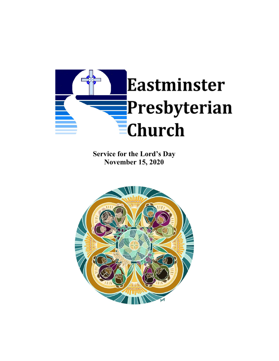

**Service for the Lord's Day November 15, 2020**

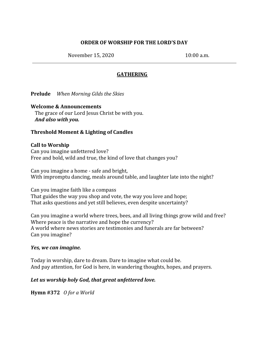# **ORDER OF WORSHIP FOR THE LORD'S DAY**

November 15, 2020 10:00 a.m.

# **GATHERING**

**Prelude** *When Morning Gilds the Skies*

### **Welcome & Announcements**

The grace of our Lord Jesus Christ be with you. *And also with you.*

## **Threshold Moment & Lighting of Candles**

### **Call to Worship**

Can you imagine unfettered love? Free and bold, wild and true, the kind of love that changes you?

Can you imagine a home - safe and bright, With impromptu dancing, meals around table, and laughter late into the night?

Can you imagine faith like a compass That guides the way you shop and vote, the way you love and hope; That asks questions and yet still believes, even despite uncertainty?

Can you imagine a world where trees, bees, and all living things grow wild and free? Where peace is the narrative and hope the currency? A world where news stories are testimonies and funerals are far between? Can you imagine?

#### *Yes, we can imagine.*

Today in worship, dare to dream. Dare to imagine what could be. And pay attention, for God is here, in wandering thoughts, hopes, and prayers.

# *Let us worship holy God, that great unfettered love.*

**Hymn #372** *O for a World*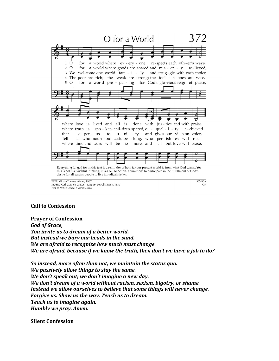

MUSIC: Carl Gotthelf Gläser, 1828; arr. Lowell Mason, 1839 Text © 1990 Medical Mission Sisters

## **Call to Confession**

**Prayer of Confession** *God of Grace, You invite us to dream of a better world, But instead we bury our heads in the sand. We are afraid to recognize how much must change. We are afraid, because if we know the truth, then don't we have a job to do?*

*So instead, more often than not, we maintain the status quo. We passively allow things to stay the same. We don't speak out; we don't imagine a new day. We don't dream of a world without racism, sexism, bigotry, or shame. Instead we allow ourselves to believe that some things will never change. Forgive us. Show us the way. Teach us to dream. Teach us to imagine again. Humbly we pray. Amen.*

**Silent Confession**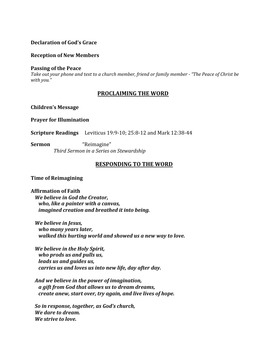## **Declaration of God's Grace**

#### **Reception of New Members**

#### **Passing of the Peace**

Take out your phone and text to a church member, friend or family member - "The Peace of Christ be *with you."*

# **PROCLAIMING THE WORD**

#### **Children's Message**

#### **Prayer for Illumination**

**Scripture Readings** Leviticus 19:9-10; 25:8-12 and Mark 12:38-44

**Sermon** "Reimagine"  *Third Sermon in a Series on Stewardship*

### **RESPONDING TO THE WORD**

#### **Time of Reimagining**

#### **Affirmation of Faith**

*We believe in God the Creator, who, like a painter with a canvas, imagined creation and breathed it into being.*

*We believe in Jesus, who many years later, walked this hurting world and showed us a new way to love.*

*We believe in the Holy Spirit, who prods us and pulls us, leads us and guides us, carries us and loves us into new life, day after day.*

*And we believe in the power of imagination, a gift from God that allows us to dream dreams, create anew, start over, try again, and live lives of hope.*

*So in response, together, as God's church, We dare to dream. We strive to love.*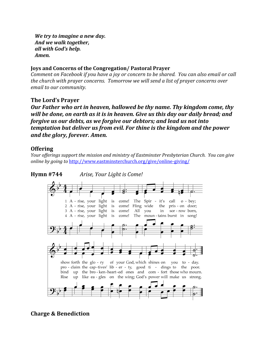*We try to imagine a new day. And we walk together, all with God's help. Amen.*

### **Joys and Concerns of the Congregation/ Pastoral Prayer**

*Comment on Facebook if you have a joy or concern to be shared. You can also email or call the church with prayer concerns. Tomorrow we will send a list of prayer concerns over email to our community.*

## **The Lord's Prayer**

*Our Father who art in heaven, hallowed be thy name. Thy kingdom come, thy will be done, on earth as it is in heaven. Give us this day our daily bread; and forgive us our debts, as we forgive our debtors; and lead us not into temptation but deliver us from evil. For thine is the kingdom and the power and the glory, forever. Amen.*

# **Offering**

*Your of erings support the mission and ministry of Eastminster Presbyterian Church. You can give online by going to* <http://www.eastminsterchurch.org/give/online-giving/>



# **Hymn #744** *Arise, Your Light is Come!*

**Charge & Benediction**